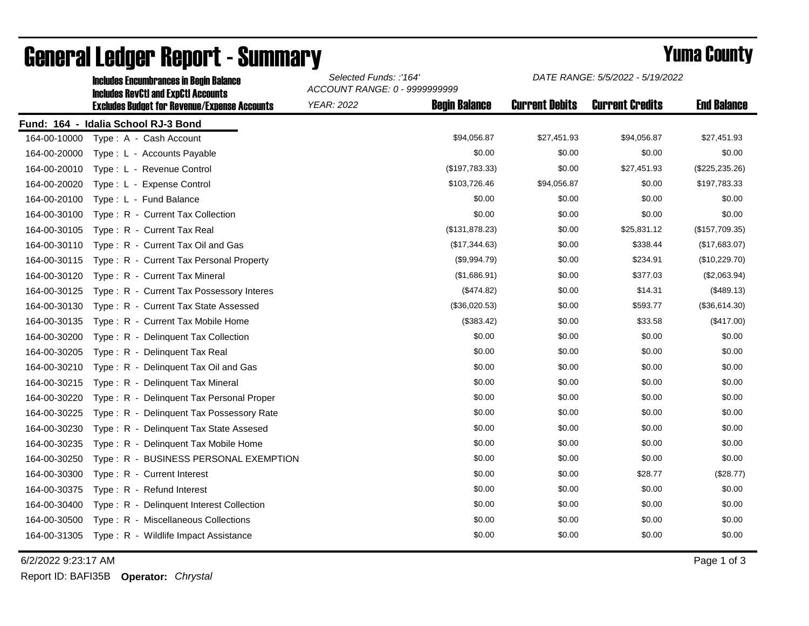|              | <b>Includes Encumbrances in Begin Balance</b><br><b>Includes RevCtI and ExpCtI Accounts</b> | Selected Funds: :'164'<br>ACCOUNT RANGE: 0 - 9999999999 |                      | <i>DATE RANGE: 5/5/2022 - 5/19/2022</i> |                        |                    |
|--------------|---------------------------------------------------------------------------------------------|---------------------------------------------------------|----------------------|-----------------------------------------|------------------------|--------------------|
|              | <b>Excludes Budget for Revenue/Expense Accounts</b>                                         | <b>YEAR: 2022</b>                                       | <b>Begin Balance</b> | <b>Current Debits</b>                   | <b>Current Credits</b> | <b>End Balance</b> |
|              | Fund: 164 - Idalia School RJ-3 Bond                                                         |                                                         |                      |                                         |                        |                    |
| 164-00-10000 | Type: A - Cash Account                                                                      |                                                         | \$94,056.87          | \$27,451.93                             | \$94,056.87            | \$27,451.93        |
| 164-00-20000 | Type : L - Accounts Payable                                                                 |                                                         | \$0.00               | \$0.00                                  | \$0.00                 | \$0.00             |
| 164-00-20010 | Type: L - Revenue Control                                                                   |                                                         | (\$197,783.33)       | \$0.00                                  | \$27,451.93            | $(\$225, 235.26)$  |
| 164-00-20020 | Type: L - Expense Control                                                                   |                                                         | \$103,726.46         | \$94,056.87                             | \$0.00                 | \$197,783.33       |
| 164-00-20100 | Type: L - Fund Balance                                                                      |                                                         | \$0.00               | \$0.00                                  | \$0.00                 | \$0.00             |
| 164-00-30100 | Type: R - Current Tax Collection                                                            |                                                         | \$0.00               | \$0.00                                  | \$0.00                 | \$0.00             |
| 164-00-30105 | Type: R - Current Tax Real                                                                  |                                                         | (\$131,878.23)       | \$0.00                                  | \$25,831.12            | (\$157,709.35)     |
| 164-00-30110 | Type: R - Current Tax Oil and Gas                                                           |                                                         | (\$17,344.63)        | \$0.00                                  | \$338.44               | (\$17,683.07)      |
| 164-00-30115 | Type: R - Current Tax Personal Property                                                     |                                                         | (\$9,994.79)         | \$0.00                                  | \$234.91               | (\$10,229.70)      |
| 164-00-30120 | Type: R - Current Tax Mineral                                                               |                                                         | (\$1,686.91)         | \$0.00                                  | \$377.03               | (\$2,063.94)       |
| 164-00-30125 | Type: R - Current Tax Possessory Interes                                                    |                                                         | (\$474.82)           | \$0.00                                  | \$14.31                | (\$489.13)         |
| 164-00-30130 | Type: R - Current Tax State Assessed                                                        |                                                         | (\$36,020.53)        | \$0.00                                  | \$593.77               | (\$36,614.30)      |
| 164-00-30135 | Type: R - Current Tax Mobile Home                                                           |                                                         | (\$383.42)           | \$0.00                                  | \$33.58                | (\$417.00)         |
| 164-00-30200 | Type: R - Delinquent Tax Collection                                                         |                                                         | \$0.00               | \$0.00                                  | \$0.00                 | \$0.00             |
| 164-00-30205 | Type: R - Delinquent Tax Real                                                               |                                                         | \$0.00               | \$0.00                                  | \$0.00                 | \$0.00             |
| 164-00-30210 | Type: R - Delinquent Tax Oil and Gas                                                        |                                                         | \$0.00               | \$0.00                                  | \$0.00                 | \$0.00             |
| 164-00-30215 | Type: R - Delinquent Tax Mineral                                                            |                                                         | \$0.00               | \$0.00                                  | \$0.00                 | \$0.00             |
| 164-00-30220 | Type: R - Delinquent Tax Personal Proper                                                    |                                                         | \$0.00               | \$0.00                                  | \$0.00                 | \$0.00             |
| 164-00-30225 | Type: R - Delinguent Tax Possessory Rate                                                    |                                                         | \$0.00               | \$0.00                                  | \$0.00                 | \$0.00             |
| 164-00-30230 | Type: R - Delinquent Tax State Assesed                                                      |                                                         | \$0.00               | \$0.00                                  | \$0.00                 | \$0.00             |
| 164-00-30235 | Type: R - Delinquent Tax Mobile Home                                                        |                                                         | \$0.00               | \$0.00                                  | \$0.00                 | \$0.00             |
| 164-00-30250 | Type: R - BUSINESS PERSONAL EXEMPTION                                                       |                                                         | \$0.00               | \$0.00                                  | \$0.00                 | \$0.00             |
| 164-00-30300 | Type: R - Current Interest                                                                  |                                                         | \$0.00               | \$0.00                                  | \$28.77                | (\$28.77)          |
| 164-00-30375 | Type: R - Refund Interest                                                                   |                                                         | \$0.00               | \$0.00                                  | \$0.00                 | \$0.00             |
| 164-00-30400 | Type: R - Delinquent Interest Collection                                                    |                                                         | \$0.00               | \$0.00                                  | \$0.00                 | \$0.00             |
| 164-00-30500 | Type: R - Miscellaneous Collections                                                         |                                                         | \$0.00               | \$0.00                                  | \$0.00                 | \$0.00             |
| 164-00-31305 | Type: R - Wildlife Impact Assistance                                                        |                                                         | \$0.00               | \$0.00                                  | \$0.00                 | \$0.00             |

## General Ledger Report - Summary **Example 2018** Yuma County

6/2/2022 9:23:17 AM Page 1 of 3

Report ID: BAFI35B **Operator:** *Chrystal*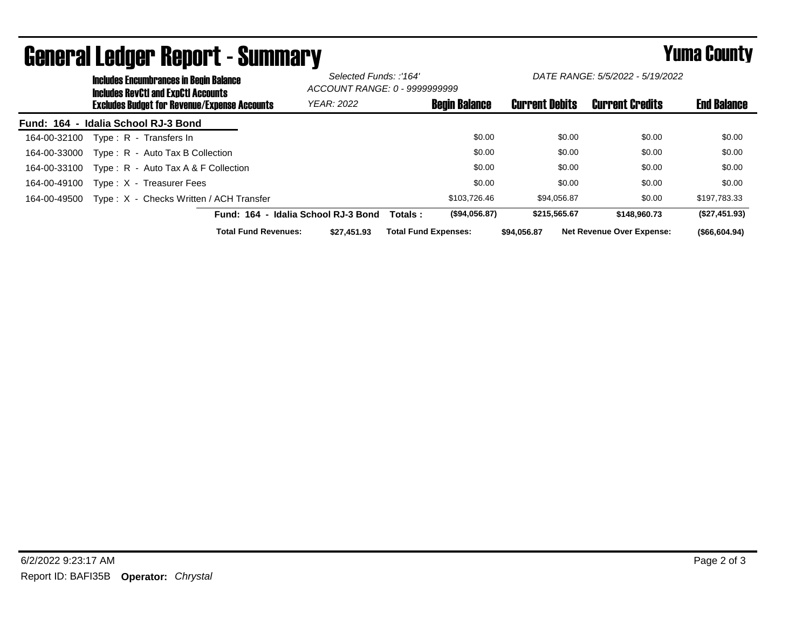|                                                     | <b>Includes Encumbrances in Begin Balance</b><br><b>Includes RevCtI and ExpCtI Accounts</b> |                                         |                                     | Selected Funds: :'164'<br>ACCOUNT RANGE: 0 - 9999999999 |                             | DATE RANGE: 5/5/2022 - 5/19/2022 |                       |                                  |                    |
|-----------------------------------------------------|---------------------------------------------------------------------------------------------|-----------------------------------------|-------------------------------------|---------------------------------------------------------|-----------------------------|----------------------------------|-----------------------|----------------------------------|--------------------|
| <b>Excludes Budget for Revenue/Expense Accounts</b> |                                                                                             |                                         |                                     | <b>YEAR: 2022</b>                                       |                             | <b>Begin Balance</b>             | <b>Current Debits</b> | <b>Current Credits</b>           | <b>End Balance</b> |
| Fund: 164 - Idalia School RJ-3 Bond                 |                                                                                             |                                         |                                     |                                                         |                             |                                  |                       |                                  |                    |
| 164-00-32100                                        |                                                                                             | Type: R - Transfers In                  |                                     |                                                         |                             | \$0.00                           | \$0.00                | \$0.00                           | \$0.00             |
| 164-00-33000                                        |                                                                                             | Type: R - Auto Tax B Collection         |                                     |                                                         |                             | \$0.00                           | \$0.00                | \$0.00                           | \$0.00             |
| 164-00-33100                                        |                                                                                             | Type: R - Auto Tax A & F Collection     |                                     |                                                         |                             | \$0.00                           | \$0.00                | \$0.00                           | \$0.00             |
| 164-00-49100                                        |                                                                                             | Type: X - Treasurer Fees                |                                     |                                                         |                             | \$0.00                           | \$0.00                | \$0.00                           | \$0.00             |
| 164-00-49500                                        |                                                                                             | Type: X - Checks Written / ACH Transfer |                                     |                                                         |                             | \$103.726.46                     | \$94.056.87           | \$0.00                           | \$197,783.33       |
|                                                     |                                                                                             |                                         | Fund: 164 - Idalia School RJ-3 Bond |                                                         | Totals :                    | (\$94,056.87)                    | \$215,565.67          | \$148,960.73                     | (\$27,451.93)      |
|                                                     |                                                                                             |                                         | <b>Total Fund Revenues:</b>         | \$27,451.93                                             | <b>Total Fund Expenses:</b> |                                  | \$94,056.87           | <b>Net Revenue Over Expense:</b> | ( \$66, 604.94)    |

## General Ledger Report - Summary **Seneral Ledger Report - Summary**